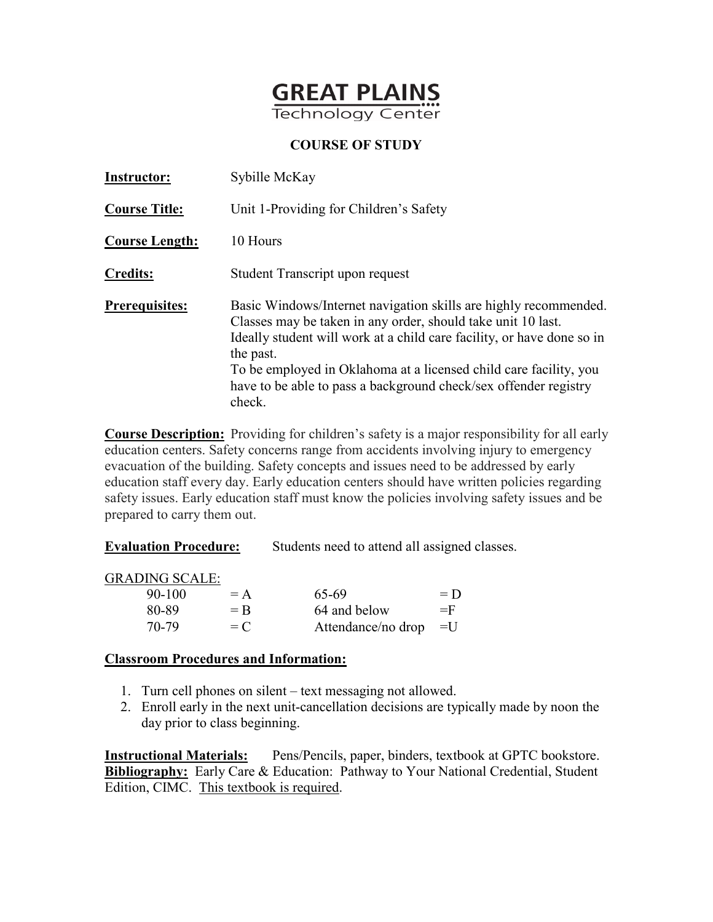

| <b>Instructor:</b>    | Sybille McKay                                                                                                                                                                                                                                                                                                                                                              |  |  |
|-----------------------|----------------------------------------------------------------------------------------------------------------------------------------------------------------------------------------------------------------------------------------------------------------------------------------------------------------------------------------------------------------------------|--|--|
| <b>Course Title:</b>  | Unit 1-Providing for Children's Safety                                                                                                                                                                                                                                                                                                                                     |  |  |
| <b>Course Length:</b> | 10 Hours                                                                                                                                                                                                                                                                                                                                                                   |  |  |
| <b>Credits:</b>       | Student Transcript upon request                                                                                                                                                                                                                                                                                                                                            |  |  |
| <b>Prerequisites:</b> | Basic Windows/Internet navigation skills are highly recommended.<br>Classes may be taken in any order, should take unit 10 last.<br>Ideally student will work at a child care facility, or have done so in<br>the past.<br>To be employed in Oklahoma at a licensed child care facility, you<br>have to be able to pass a background check/sex offender registry<br>check. |  |  |

**Course Description:** Providing for children's safety is a major responsibility for all early education centers. Safety concerns range from accidents involving injury to emergency evacuation of the building. Safety concepts and issues need to be addressed by early education staff every day. Early education centers should have written policies regarding safety issues. Early education staff must know the policies involving safety issues and be prepared to carry them out.

**Evaluation Procedure:** Students need to attend all assigned classes.

GRADING SCALE:

| 90-100 | $= A$ | 65-69                   | $= D$ |
|--------|-------|-------------------------|-------|
| 80-89  | $=$ R | 64 and below            | $=$ F |
| 70-79  | $= C$ | Attendance/no drop $=U$ |       |

### **Classroom Procedures and Information:**

- 1. Turn cell phones on silent text messaging not allowed.
- 2. Enroll early in the next unit-cancellation decisions are typically made by noon the day prior to class beginning.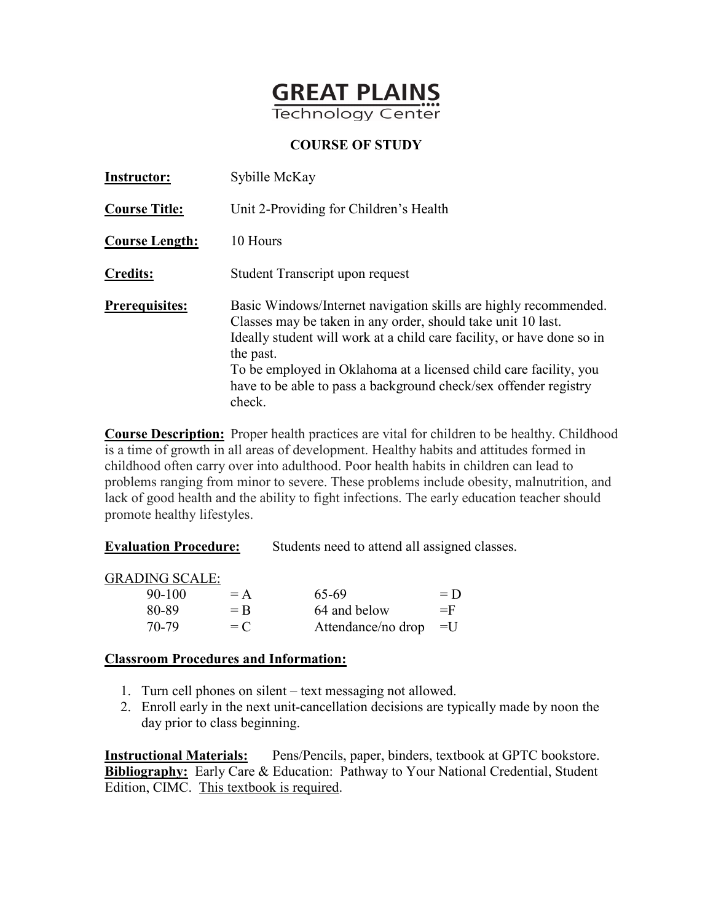

| <b>Instructor:</b>    | Sybille McKay                                                                                                                                                                                                                                                                                                                                                              |  |  |
|-----------------------|----------------------------------------------------------------------------------------------------------------------------------------------------------------------------------------------------------------------------------------------------------------------------------------------------------------------------------------------------------------------------|--|--|
| <b>Course Title:</b>  | Unit 2-Providing for Children's Health                                                                                                                                                                                                                                                                                                                                     |  |  |
| <b>Course Length:</b> | 10 Hours                                                                                                                                                                                                                                                                                                                                                                   |  |  |
| <b>Credits:</b>       | Student Transcript upon request                                                                                                                                                                                                                                                                                                                                            |  |  |
| <b>Prerequisites:</b> | Basic Windows/Internet navigation skills are highly recommended.<br>Classes may be taken in any order, should take unit 10 last.<br>Ideally student will work at a child care facility, or have done so in<br>the past.<br>To be employed in Oklahoma at a licensed child care facility, you<br>have to be able to pass a background check/sex offender registry<br>check. |  |  |

**Course Description:** Proper health practices are vital for children to be healthy. Childhood is a time of growth in all areas of development. Healthy habits and attitudes formed in childhood often carry over into adulthood. Poor health habits in children can lead to problems ranging from minor to severe. These problems include obesity, malnutrition, and lack of good health and the ability to fight infections. The early education teacher should promote healthy lifestyles.

| <b>Evaluation Procedure:</b> | Students need to attend all assigned classes. |
|------------------------------|-----------------------------------------------|
|                              |                                               |

GRADING SCALE:

| 90-100 | $= A$ | 65-69                   | $= D$ |
|--------|-------|-------------------------|-------|
| 80-89  | $=$ R | 64 and below            | $=$ F |
| 70-79  | $= C$ | Attendance/no drop $=U$ |       |

### **Classroom Procedures and Information:**

- 1. Turn cell phones on silent text messaging not allowed.
- 2. Enroll early in the next unit-cancellation decisions are typically made by noon the day prior to class beginning.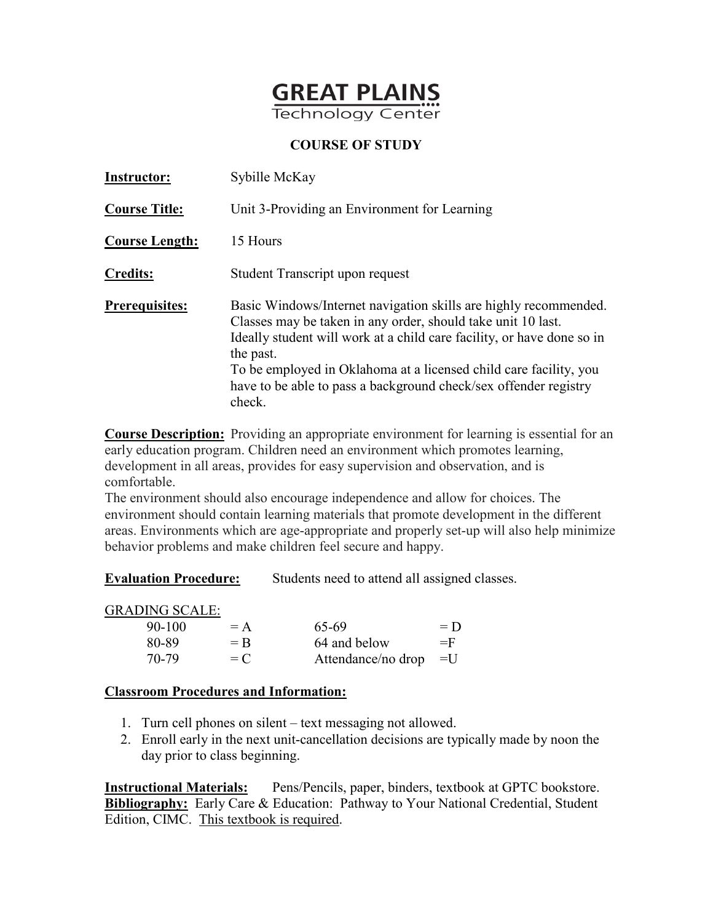

| <b>Instructor:</b>    | Sybille McKay                                                                                                                                                                                                                                                                                                                                                              |  |  |
|-----------------------|----------------------------------------------------------------------------------------------------------------------------------------------------------------------------------------------------------------------------------------------------------------------------------------------------------------------------------------------------------------------------|--|--|
| <b>Course Title:</b>  | Unit 3-Providing an Environment for Learning                                                                                                                                                                                                                                                                                                                               |  |  |
| <b>Course Length:</b> | 15 Hours                                                                                                                                                                                                                                                                                                                                                                   |  |  |
| <b>Credits:</b>       | Student Transcript upon request                                                                                                                                                                                                                                                                                                                                            |  |  |
| <b>Prerequisites:</b> | Basic Windows/Internet navigation skills are highly recommended.<br>Classes may be taken in any order, should take unit 10 last.<br>Ideally student will work at a child care facility, or have done so in<br>the past.<br>To be employed in Oklahoma at a licensed child care facility, you<br>have to be able to pass a background check/sex offender registry<br>check. |  |  |

**Course Description:** Providing an appropriate environment for learning is essential for an early education program. Children need an environment which promotes learning, development in all areas, provides for easy supervision and observation, and is comfortable.

The environment should also encourage independence and allow for choices. The environment should contain learning materials that promote development in the different areas. Environments which are age-appropriate and properly set-up will also help minimize behavior problems and make children feel secure and happy.

**Evaluation Procedure:** Students need to attend all assigned classes.

### GRADING SCALE:

| 90-100 | $= A$ | 65-69                   | $= D$ |
|--------|-------|-------------------------|-------|
| 80-89  | $=$ R | 64 and below            | $=$ F |
| 70-79  | $= C$ | Attendance/no drop $=U$ |       |

### **Classroom Procedures and Information:**

- 1. Turn cell phones on silent text messaging not allowed.
- 2. Enroll early in the next unit-cancellation decisions are typically made by noon the day prior to class beginning.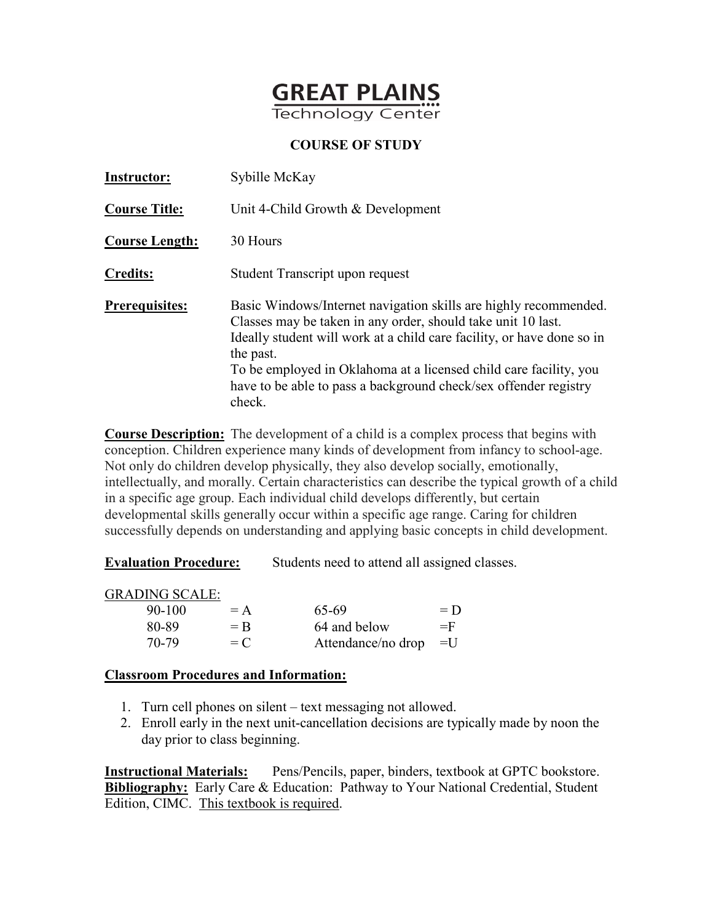

| <b>Instructor:</b>    | Sybille McKay                                                                                                                                                                                                                                                                                                                                                              |  |  |
|-----------------------|----------------------------------------------------------------------------------------------------------------------------------------------------------------------------------------------------------------------------------------------------------------------------------------------------------------------------------------------------------------------------|--|--|
| <b>Course Title:</b>  | Unit 4-Child Growth & Development                                                                                                                                                                                                                                                                                                                                          |  |  |
| <b>Course Length:</b> | 30 Hours                                                                                                                                                                                                                                                                                                                                                                   |  |  |
| <b>Credits:</b>       | Student Transcript upon request                                                                                                                                                                                                                                                                                                                                            |  |  |
| <b>Prerequisites:</b> | Basic Windows/Internet navigation skills are highly recommended.<br>Classes may be taken in any order, should take unit 10 last.<br>Ideally student will work at a child care facility, or have done so in<br>the past.<br>To be employed in Oklahoma at a licensed child care facility, you<br>have to be able to pass a background check/sex offender registry<br>check. |  |  |

**Course Description:** The development of a child is a complex process that begins with conception. Children experience many kinds of development from infancy to school-age. Not only do children develop physically, they also develop socially, emotionally, intellectually, and morally. Certain characteristics can describe the typical growth of a child in a specific age group. Each individual child develops differently, but certain developmental skills generally occur within a specific age range. Caring for children successfully depends on understanding and applying basic concepts in child development.

**Evaluation Procedure:** Students need to attend all assigned classes.

GRADING SCALE:

| $90 - 100$ | $= A$ | 65-69                   | $= D$ |
|------------|-------|-------------------------|-------|
| 80-89      | $=$ R | 64 and below            | $=$ F |
| 70-79      | $= C$ | Attendance/no drop $=U$ |       |

#### **Classroom Procedures and Information:**

- 1. Turn cell phones on silent text messaging not allowed.
- 2. Enroll early in the next unit-cancellation decisions are typically made by noon the day prior to class beginning.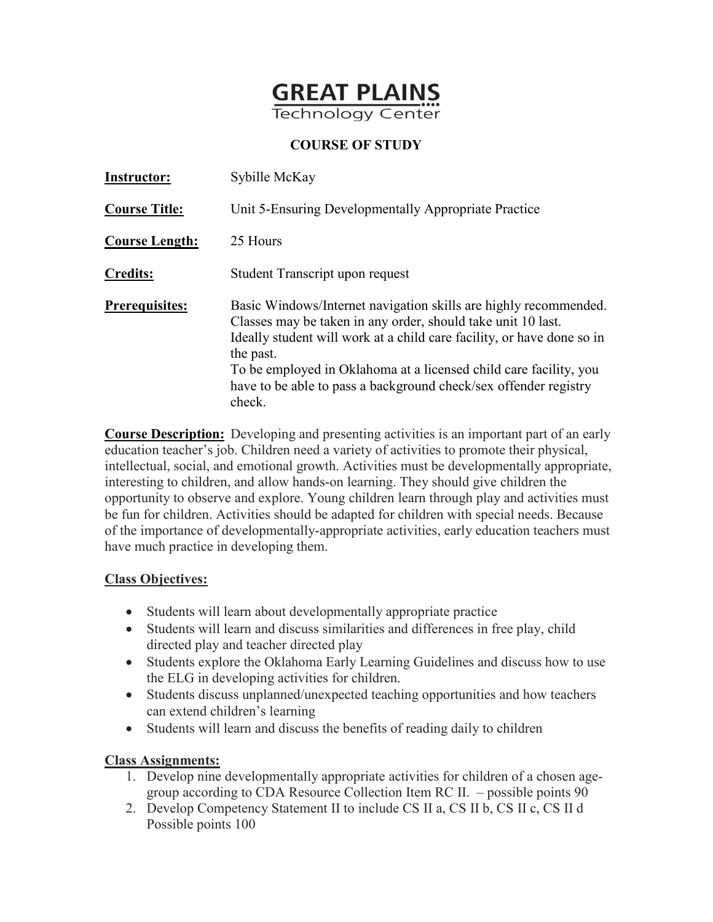

| <b>Instructor:</b>    | Sybille McKay                                                                                                                                                                                                                                                                                                                                                              |
|-----------------------|----------------------------------------------------------------------------------------------------------------------------------------------------------------------------------------------------------------------------------------------------------------------------------------------------------------------------------------------------------------------------|
| <b>Course Title:</b>  | Unit 5-Ensuring Developmentally Appropriate Practice                                                                                                                                                                                                                                                                                                                       |
| <b>Course Length:</b> | 25 Hours                                                                                                                                                                                                                                                                                                                                                                   |
| <b>Credits:</b>       | Student Transcript upon request                                                                                                                                                                                                                                                                                                                                            |
| <b>Prerequisites:</b> | Basic Windows/Internet navigation skills are highly recommended.<br>Classes may be taken in any order, should take unit 10 last.<br>Ideally student will work at a child care facility, or have done so in<br>the past.<br>To be employed in Oklahoma at a licensed child care facility, you<br>have to be able to pass a background check/sex offender registry<br>check. |

**Course Description:** Developing and presenting activities is an important part of an early education teacher's job. Children need a variety of activities to promote their physical, intellectual, social, and emotional growth. Activities must be developmentally appropriate, interesting to children, and allow hands-on learning. They should give children the opportunity to observe and explore. Young children learn through play and activities must be fun for children. Activities should be adapted for children with special needs. Because of the importance of developmentally-appropriate activities, early education teachers must have much practice in developing them.

### **Class Objectives:**

- Students will learn about developmentally appropriate practice
- Students will learn and discuss similarities and differences in free play, child directed play and teacher directed play
- Students explore the Oklahoma Early Learning Guidelines and discuss how to use the ELG in developing activities for children.
- Students discuss unplanned/unexpected teaching opportunities and how teachers can extend children's learning
- Students will learn and discuss the benefits of reading daily to children

# **Class Assignments:**

- 1. Develop nine developmentally appropriate activities for children of a chosen agegroup according to CDA Resource Collection Item RC II. – possible points 90
- 2. Develop Competency Statement II to include CS II a, CS II b, CS II c, CS II d Possible points 100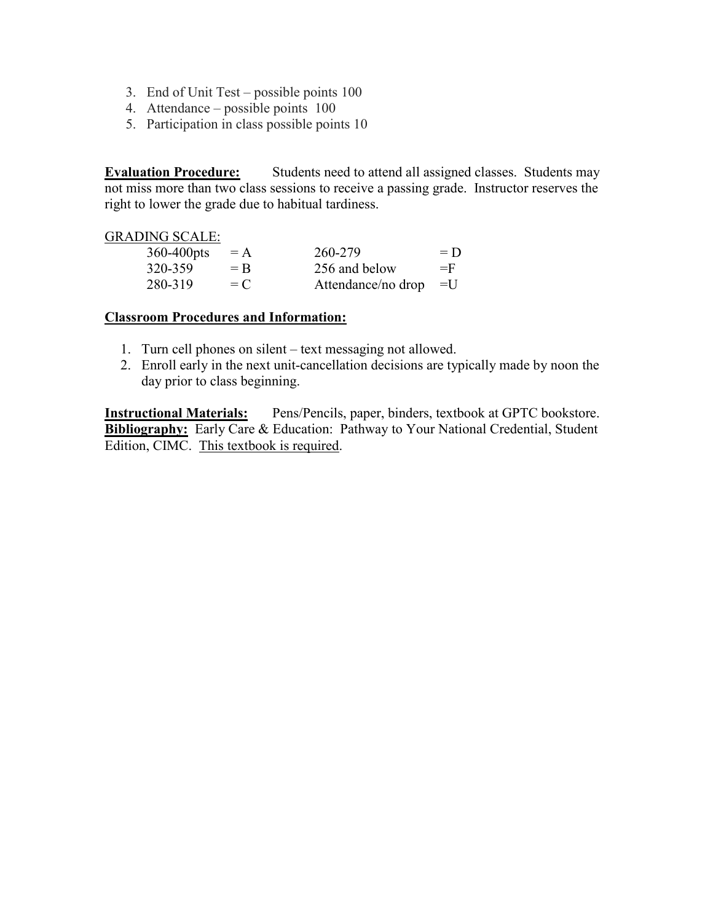- 3. End of Unit Test possible points 100
- 4. Attendance possible points 100
- 5. Participation in class possible points 10

**Evaluation Procedure:** Students need to attend all assigned classes. Students may not miss more than two class sessions to receive a passing grade. Instructor reserves the right to lower the grade due to habitual tardiness.

#### GRADING SCALE:

| $360-400$ pts | $= A$ | 260-279            | $= D$ |
|---------------|-------|--------------------|-------|
| 320-359       | $=$ R | 256 and below      | $=$ F |
| 280-319       | $= C$ | Attendance/no drop | $=$ U |

#### **Classroom Procedures and Information:**

- 1. Turn cell phones on silent text messaging not allowed.
- 2. Enroll early in the next unit-cancellation decisions are typically made by noon the day prior to class beginning.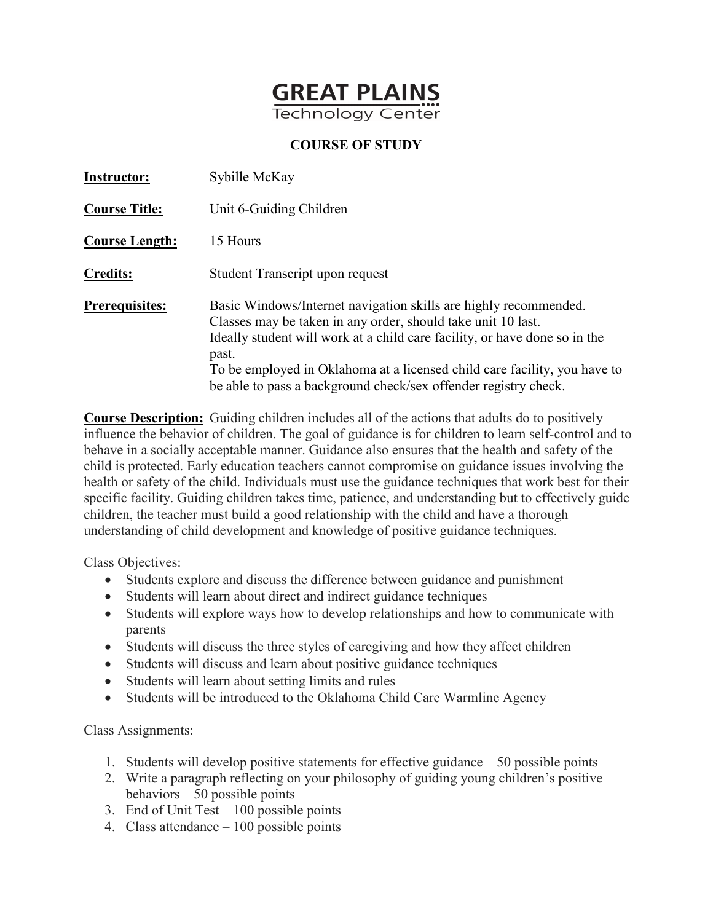

| <b>Instructor:</b>    | Sybille McKay                                                                                                                                                                                                                                                                                                                                                           |
|-----------------------|-------------------------------------------------------------------------------------------------------------------------------------------------------------------------------------------------------------------------------------------------------------------------------------------------------------------------------------------------------------------------|
| <b>Course Title:</b>  | Unit 6-Guiding Children                                                                                                                                                                                                                                                                                                                                                 |
| <b>Course Length:</b> | 15 Hours                                                                                                                                                                                                                                                                                                                                                                |
| <b>Credits:</b>       | Student Transcript upon request                                                                                                                                                                                                                                                                                                                                         |
| <b>Prerequisites:</b> | Basic Windows/Internet navigation skills are highly recommended.<br>Classes may be taken in any order, should take unit 10 last.<br>Ideally student will work at a child care facility, or have done so in the<br>past.<br>To be employed in Oklahoma at a licensed child care facility, you have to<br>be able to pass a background check/sex offender registry check. |

**Course Description:** Guiding children includes all of the actions that adults do to positively influence the behavior of children. The goal of guidance is for children to learn self-control and to behave in a socially acceptable manner. Guidance also ensures that the health and safety of the child is protected. Early education teachers cannot compromise on guidance issues involving the health or safety of the child. Individuals must use the guidance techniques that work best for their specific facility. Guiding children takes time, patience, and understanding but to effectively guide children, the teacher must build a good relationship with the child and have a thorough understanding of child development and knowledge of positive guidance techniques.

Class Objectives:

- Students explore and discuss the difference between guidance and punishment
- Students will learn about direct and indirect guidance techniques
- Students will explore ways how to develop relationships and how to communicate with parents
- Students will discuss the three styles of caregiving and how they affect children
- Students will discuss and learn about positive guidance techniques
- Students will learn about setting limits and rules
- Students will be introduced to the Oklahoma Child Care Warmline Agency

Class Assignments:

- 1. Students will develop positive statements for effective guidance 50 possible points
- 2. Write a paragraph reflecting on your philosophy of guiding young children's positive behaviors – 50 possible points
- 3. End of Unit Test 100 possible points
- 4. Class attendance 100 possible points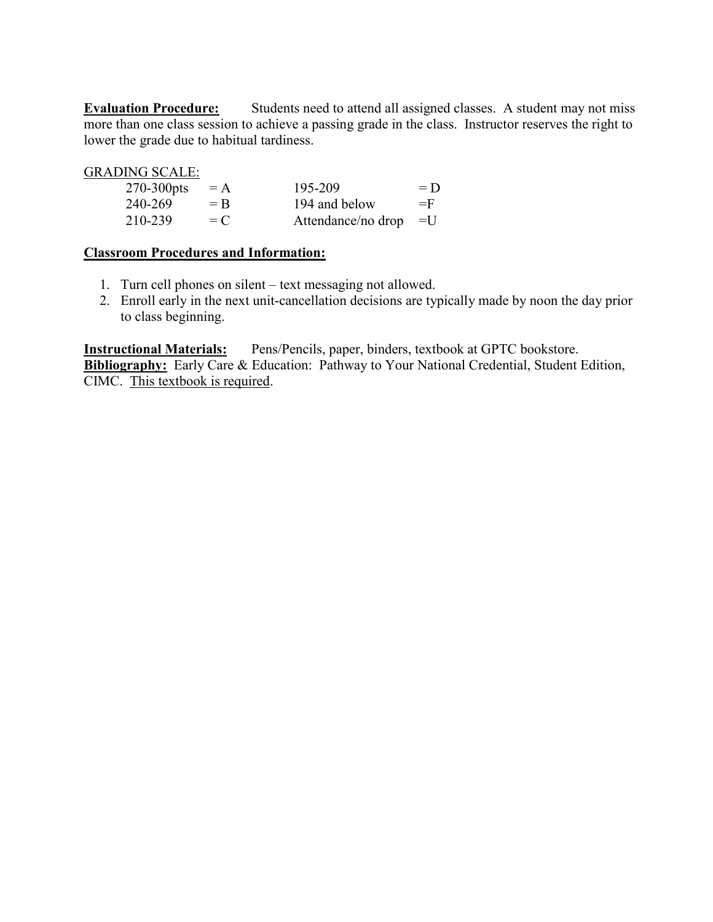**Evaluation Procedure:** Students need to attend all assigned classes. A student may not miss more than one class session to achieve a passing grade in the class. Instructor reserves the right to lower the grade due to habitual tardiness.

| <b>GRADING SCALE:</b> |       |                    |                |
|-----------------------|-------|--------------------|----------------|
| $270-300$ pts         | $= A$ | 195-209            | $= D$          |
| 240-269               | $=$ R | 194 and below      | $=$ F          |
| 210-239               | $= C$ | Attendance/no drop | $\mathbf{I} =$ |

### **Classroom Procedures and Information:**

- 1. Turn cell phones on silent text messaging not allowed.
- 2. Enroll early in the next unit-cancellation decisions are typically made by noon the day prior to class beginning.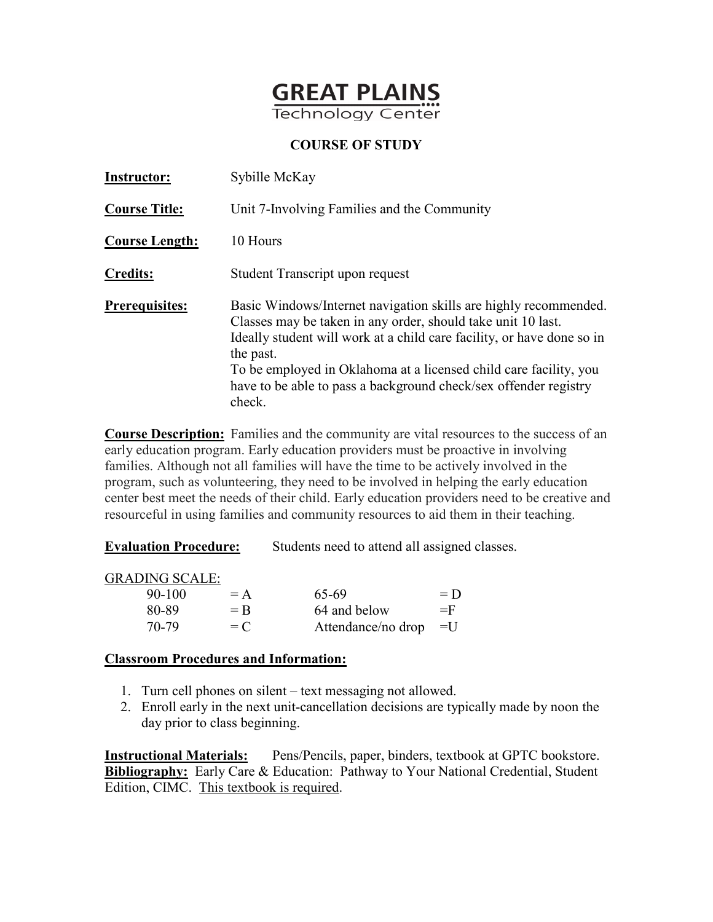

| <b>Instructor:</b>    | Sybille McKay                                                                                                                                                                                                                                                                                                                                                              |
|-----------------------|----------------------------------------------------------------------------------------------------------------------------------------------------------------------------------------------------------------------------------------------------------------------------------------------------------------------------------------------------------------------------|
| <b>Course Title:</b>  | Unit 7-Involving Families and the Community                                                                                                                                                                                                                                                                                                                                |
| <b>Course Length:</b> | 10 Hours                                                                                                                                                                                                                                                                                                                                                                   |
| <b>Credits:</b>       | Student Transcript upon request                                                                                                                                                                                                                                                                                                                                            |
| <b>Prerequisites:</b> | Basic Windows/Internet navigation skills are highly recommended.<br>Classes may be taken in any order, should take unit 10 last.<br>Ideally student will work at a child care facility, or have done so in<br>the past.<br>To be employed in Oklahoma at a licensed child care facility, you<br>have to be able to pass a background check/sex offender registry<br>check. |

**Course Description:** Families and the community are vital resources to the success of an early education program. Early education providers must be proactive in involving families. Although not all families will have the time to be actively involved in the program, such as volunteering, they need to be involved in helping the early education center best meet the needs of their child. Early education providers need to be creative and resourceful in using families and community resources to aid them in their teaching.

**Evaluation Procedure:** Students need to attend all assigned classes.

GRADING SCALE:

| 90-100 | $= A$ | 65-69                   | $= D$ |
|--------|-------|-------------------------|-------|
| 80-89  | $=$ R | 64 and below            | $=$ F |
| 70-79  | $= C$ | Attendance/no drop $=U$ |       |

### **Classroom Procedures and Information:**

- 1. Turn cell phones on silent text messaging not allowed.
- 2. Enroll early in the next unit-cancellation decisions are typically made by noon the day prior to class beginning.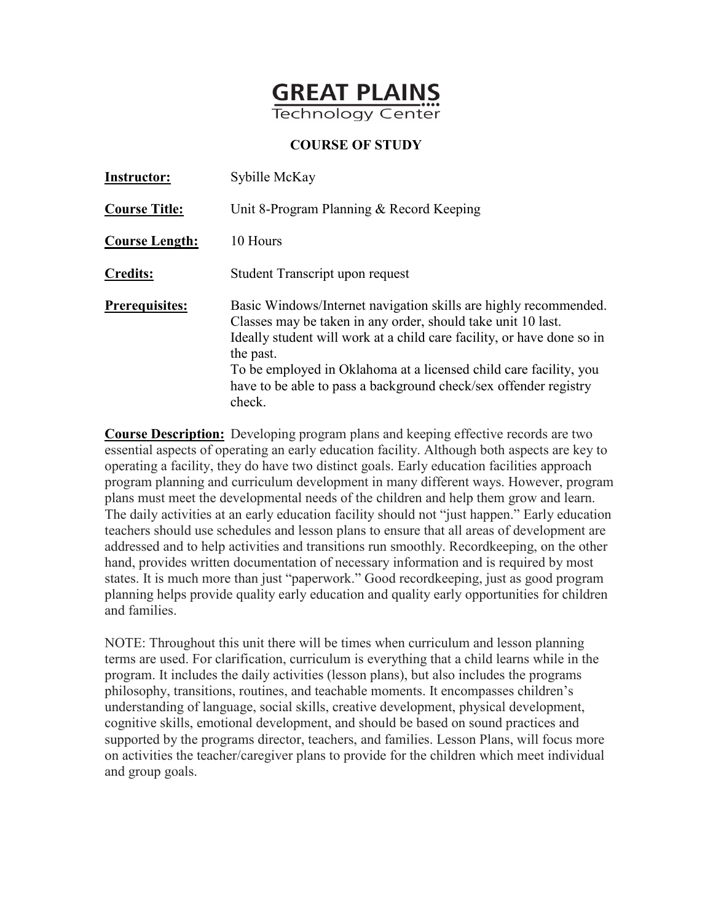

| <b>Instructor:</b>    | Sybille McKay                                                                                                                                                                                                                                                                                                                                                              |
|-----------------------|----------------------------------------------------------------------------------------------------------------------------------------------------------------------------------------------------------------------------------------------------------------------------------------------------------------------------------------------------------------------------|
| <b>Course Title:</b>  | Unit 8-Program Planning & Record Keeping                                                                                                                                                                                                                                                                                                                                   |
| <b>Course Length:</b> | 10 Hours                                                                                                                                                                                                                                                                                                                                                                   |
| <b>Credits:</b>       | Student Transcript upon request                                                                                                                                                                                                                                                                                                                                            |
| <b>Prerequisites:</b> | Basic Windows/Internet navigation skills are highly recommended.<br>Classes may be taken in any order, should take unit 10 last.<br>Ideally student will work at a child care facility, or have done so in<br>the past.<br>To be employed in Oklahoma at a licensed child care facility, you<br>have to be able to pass a background check/sex offender registry<br>check. |

**Course Description:** Developing program plans and keeping effective records are two essential aspects of operating an early education facility. Although both aspects are key to operating a facility, they do have two distinct goals. Early education facilities approach program planning and curriculum development in many different ways. However, program plans must meet the developmental needs of the children and help them grow and learn. The daily activities at an early education facility should not "just happen." Early education teachers should use schedules and lesson plans to ensure that all areas of development are addressed and to help activities and transitions run smoothly. Recordkeeping, on the other hand, provides written documentation of necessary information and is required by most states. It is much more than just "paperwork." Good recordkeeping, just as good program planning helps provide quality early education and quality early opportunities for children and families.

NOTE: Throughout this unit there will be times when curriculum and lesson planning terms are used. For clarification, curriculum is everything that a child learns while in the program. It includes the daily activities (lesson plans), but also includes the programs philosophy, transitions, routines, and teachable moments. It encompasses children's understanding of language, social skills, creative development, physical development, cognitive skills, emotional development, and should be based on sound practices and supported by the programs director, teachers, and families. Lesson Plans, will focus more on activities the teacher/caregiver plans to provide for the children which meet individual and group goals.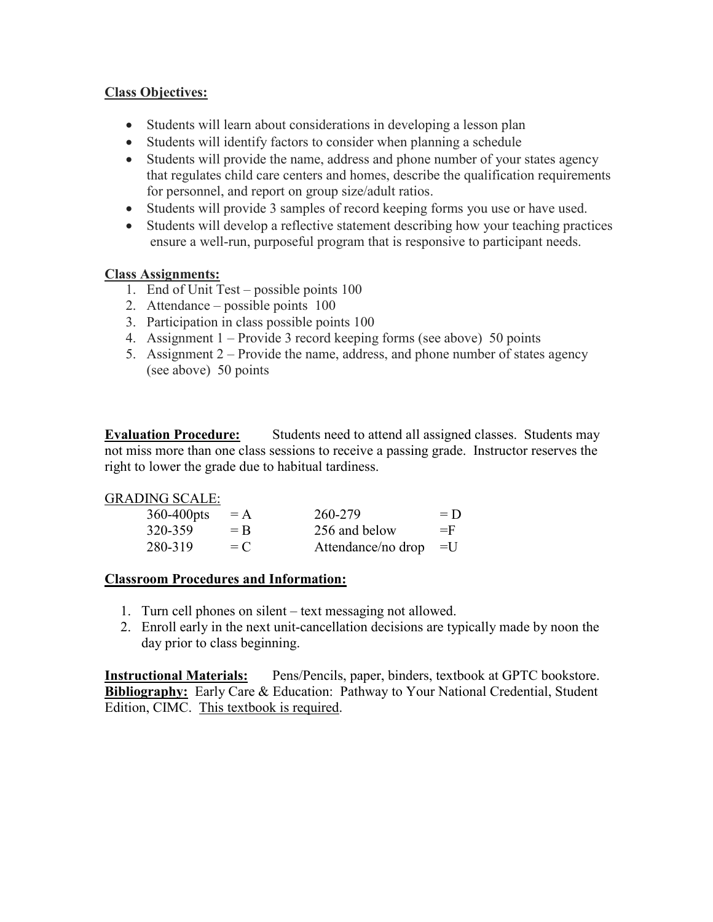# **Class Objectives:**

- Students will learn about considerations in developing a lesson plan
- Students will identify factors to consider when planning a schedule
- Students will provide the name, address and phone number of your states agency that regulates child care centers and homes, describe the qualification requirements for personnel, and report on group size/adult ratios.
- Students will provide 3 samples of record keeping forms you use or have used.
- Students will develop a reflective statement describing how your teaching practices ensure a well-run, purposeful program that is responsive to participant needs.

# **Class Assignments:**

- 1. End of Unit Test possible points 100
- 2. Attendance possible points 100
- 3. Participation in class possible points 100
- 4. Assignment 1 Provide 3 record keeping forms (see above) 50 points
- 5. Assignment 2 Provide the name, address, and phone number of states agency (see above) 50 points

**Evaluation Procedure:** Students need to attend all assigned classes. Students may not miss more than one class sessions to receive a passing grade. Instructor reserves the right to lower the grade due to habitual tardiness.

### GRADING SCALE:

| 360-400pts | $= A$ | 260-279            | $= D$ |
|------------|-------|--------------------|-------|
| 320-359    | $=$ R | 256 and below      | $=$ F |
| 280-319    | $= C$ | Attendance/no drop | $=$ U |

# **Classroom Procedures and Information:**

- 1. Turn cell phones on silent text messaging not allowed.
- 2. Enroll early in the next unit-cancellation decisions are typically made by noon the day prior to class beginning.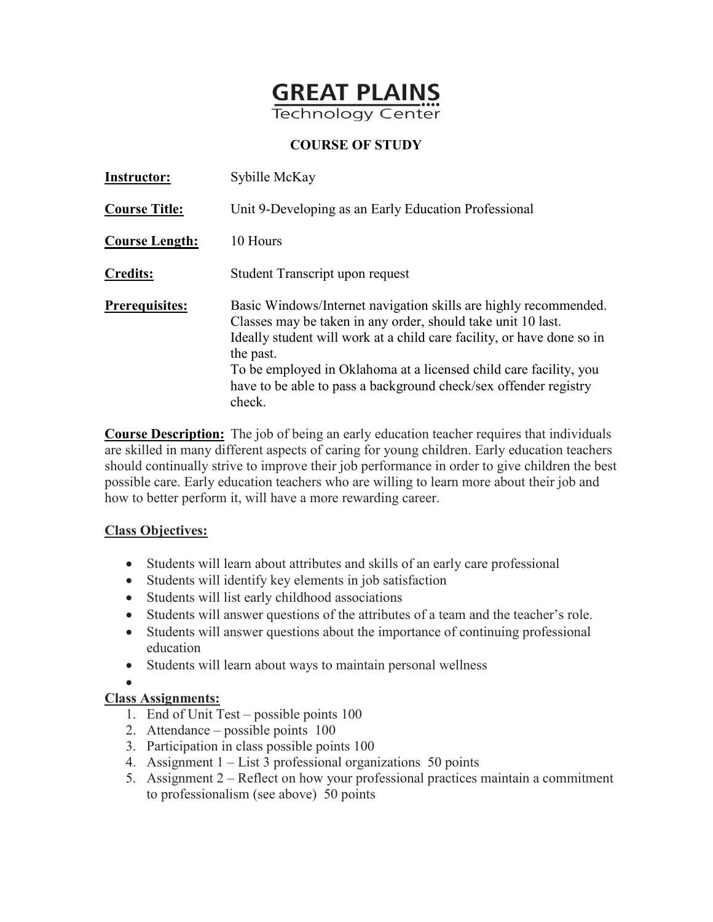

| <b>Instructor:</b>    | Sybille McKay                                                                                                                                                                                                                                                                                                                                                              |
|-----------------------|----------------------------------------------------------------------------------------------------------------------------------------------------------------------------------------------------------------------------------------------------------------------------------------------------------------------------------------------------------------------------|
| <b>Course Title:</b>  | Unit 9-Developing as an Early Education Professional                                                                                                                                                                                                                                                                                                                       |
| <b>Course Length:</b> | 10 Hours                                                                                                                                                                                                                                                                                                                                                                   |
| <b>Credits:</b>       | Student Transcript upon request                                                                                                                                                                                                                                                                                                                                            |
| <b>Prerequisites:</b> | Basic Windows/Internet navigation skills are highly recommended.<br>Classes may be taken in any order, should take unit 10 last.<br>Ideally student will work at a child care facility, or have done so in<br>the past.<br>To be employed in Oklahoma at a licensed child care facility, you<br>have to be able to pass a background check/sex offender registry<br>check. |

**Course Description:** The job of being an early education teacher requires that individuals are skilled in many different aspects of caring for young children. Early education teachers should continually strive to improve their job performance in order to give children the best possible care. Early education teachers who are willing to learn more about their job and how to better perform it, will have a more rewarding career.

# **Class Objectives:**

- Students will learn about attributes and skills of an early care professional
- Students will identify key elements in job satisfaction
- Students will list early childhood associations
- Students will answer questions of the attributes of a team and the teacher's role.
- Students will answer questions about the importance of continuing professional education
- Students will learn about ways to maintain personal wellness

### •

# **Class Assignments:**

- 1. End of Unit Test possible points 100
- 2. Attendance possible points 100
- 3. Participation in class possible points 100
- 4. Assignment 1 List 3 professional organizations 50 points
- 5. Assignment 2 Reflect on how your professional practices maintain a commitment to professionalism (see above) 50 points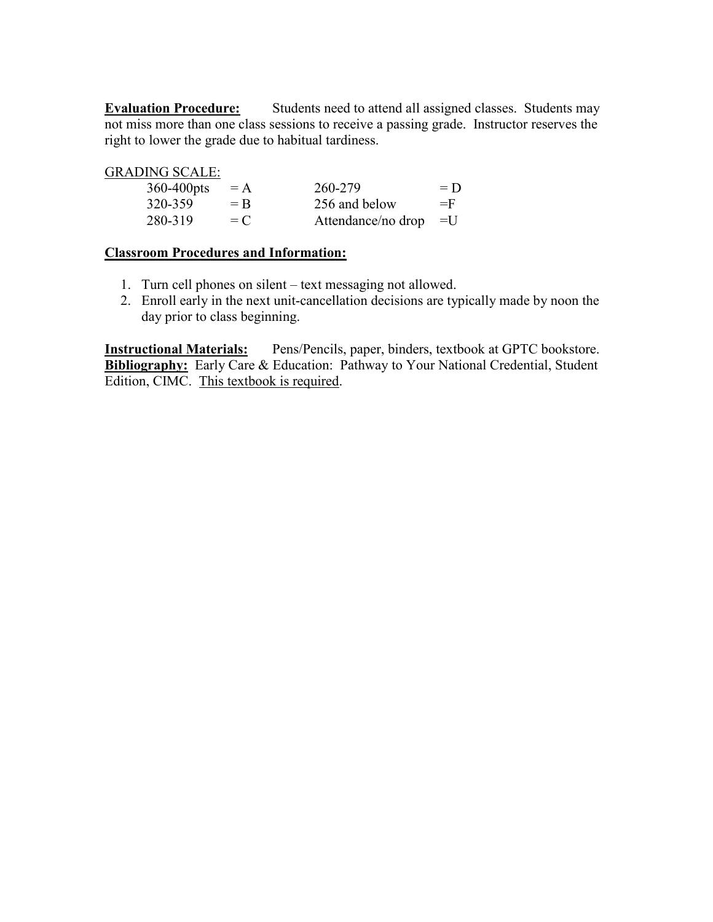**Evaluation Procedure:** Students need to attend all assigned classes. Students may not miss more than one class sessions to receive a passing grade. Instructor reserves the right to lower the grade due to habitual tardiness.

GRADING SCALE:

| 360-400pts | $= A$            | 260-279            | $= D$ |
|------------|------------------|--------------------|-------|
| 320-359    | $=$ $\mathsf{B}$ | 256 and below      | $=$ F |
| 280-319    | $= C$            | Attendance/no drop | $=$ U |

### **Classroom Procedures and Information:**

- 1. Turn cell phones on silent text messaging not allowed.
- 2. Enroll early in the next unit-cancellation decisions are typically made by noon the day prior to class beginning.